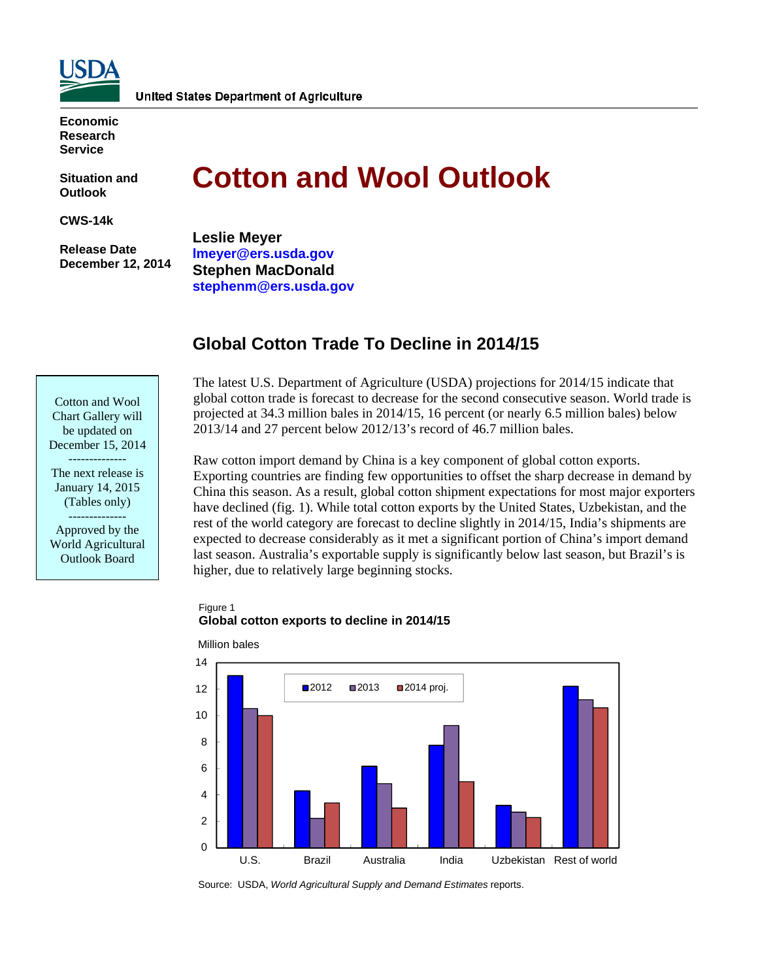

**Economic Research Service** 

**Situation and Outlook** 

**CWS-14k** 

 **Release Date December 12, 2014** 

# **Cotton and Wool Outlook**

**Leslie Meyer lmeyer@ers.usda.gov Stephen MacDonald stephenm@ers.usda.gov** 

# **Global Cotton Trade To Decline in 2014/15**

Cotton and Wool Chart Gallery will be updated on December 15, 2014 -------------- The next release is January 14, 2015 (Tables only) -------------- Approved by the World Agricultural Outlook Board

The latest U.S. Department of Agriculture (USDA) projections for 2014/15 indicate that global cotton trade is forecast to decrease for the second consecutive season. World trade is projected at 34.3 million bales in 2014/15, 16 percent (or nearly 6.5 million bales) below 2013/14 and 27 percent below 2012/13's record of 46.7 million bales.

Raw cotton import demand by China is a key component of global cotton exports. Exporting countries are finding few opportunities to offset the sharp decrease in demand by China this season. As a result, global cotton shipment expectations for most major exporters have declined (fig. 1). While total cotton exports by the United States, Uzbekistan, and the rest of the world category are forecast to decline slightly in 2014/15, India's shipments are expected to decrease considerably as it met a significant portion of China's import demand last season. Australia's exportable supply is significantly below last season, but Brazil's is higher, due to relatively large beginning stocks.

#### Figure 1 **Global cotton exports to decline in 2014/15**



Source: USDA, *World Agricultural Supply and Demand Estimates* reports.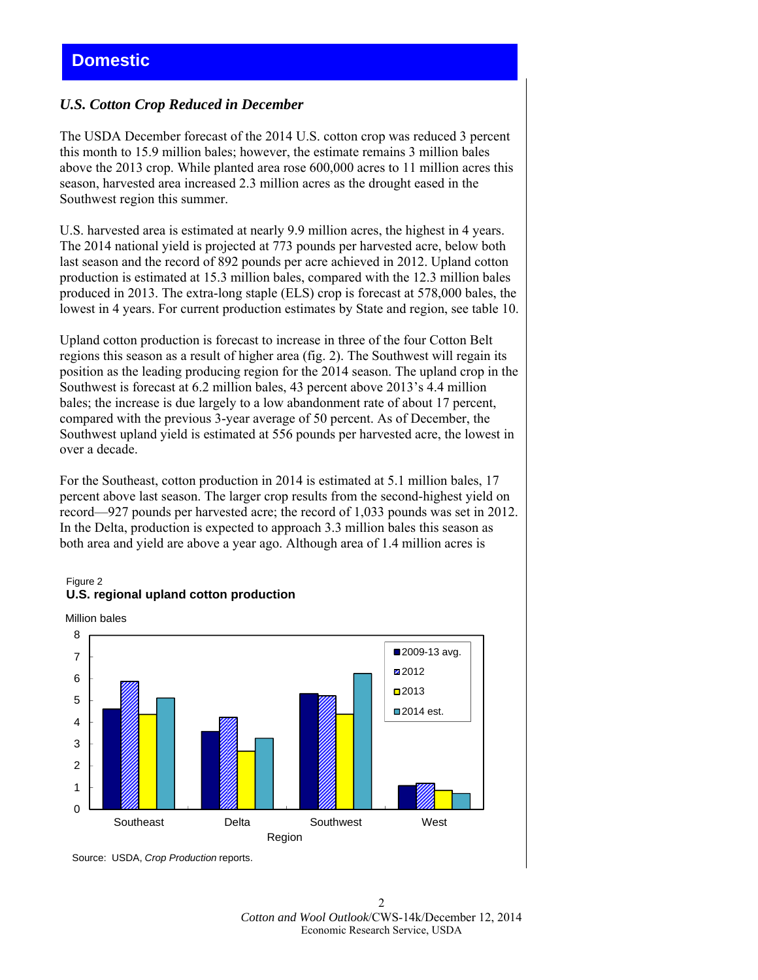## *U.S. Cotton Crop Reduced in December*

The USDA December forecast of the 2014 U.S. cotton crop was reduced 3 percent this month to 15.9 million bales; however, the estimate remains 3 million bales above the 2013 crop. While planted area rose 600,000 acres to 11 million acres this season, harvested area increased 2.3 million acres as the drought eased in the Southwest region this summer.

U.S. harvested area is estimated at nearly 9.9 million acres, the highest in 4 years. The 2014 national yield is projected at 773 pounds per harvested acre, below both last season and the record of 892 pounds per acre achieved in 2012. Upland cotton production is estimated at 15.3 million bales, compared with the 12.3 million bales produced in 2013. The extra-long staple (ELS) crop is forecast at 578,000 bales, the lowest in 4 years. For current production estimates by State and region, see table 10.

Upland cotton production is forecast to increase in three of the four Cotton Belt regions this season as a result of higher area (fig. 2). The Southwest will regain its position as the leading producing region for the 2014 season. The upland crop in the Southwest is forecast at 6.2 million bales, 43 percent above 2013's 4.4 million bales; the increase is due largely to a low abandonment rate of about 17 percent, compared with the previous 3-year average of 50 percent. As of December, the Southwest upland yield is estimated at 556 pounds per harvested acre, the lowest in over a decade.

For the Southeast, cotton production in 2014 is estimated at 5.1 million bales, 17 percent above last season. The larger crop results from the second-highest yield on record—927 pounds per harvested acre; the record of 1,033 pounds was set in 2012. In the Delta, production is expected to approach 3.3 million bales this season as both area and yield are above a year ago. Although area of 1.4 million acres is

#### Figure 2 **U.S. regional upland cotton production**





Source: USDA, *Crop Production* reports.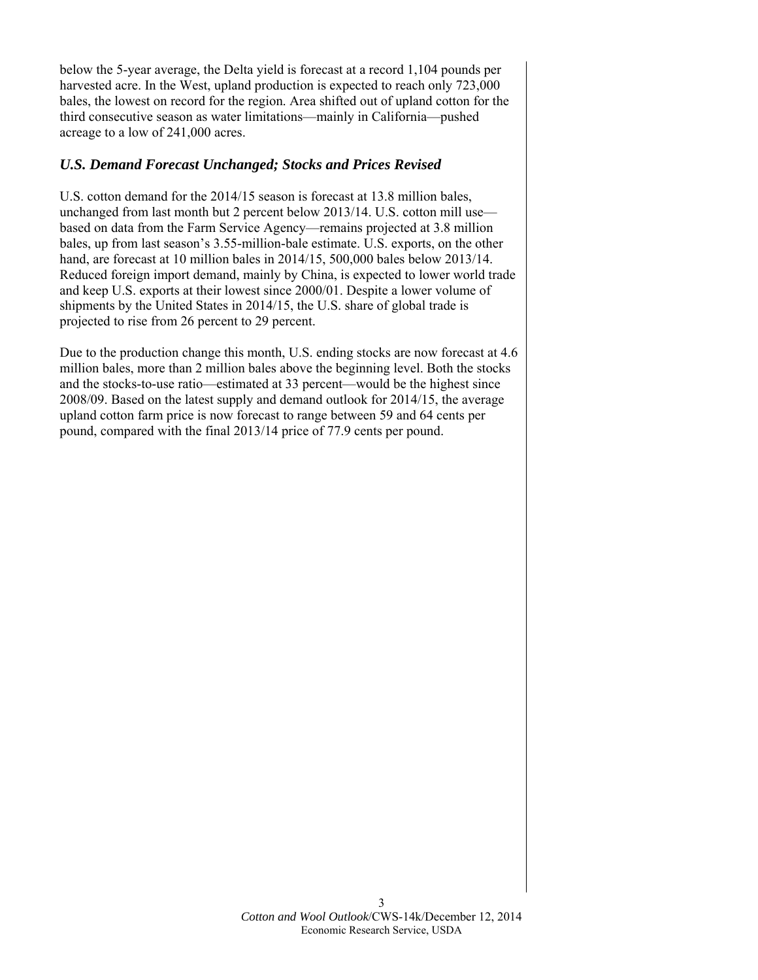below the 5-year average, the Delta yield is forecast at a record 1,104 pounds per harvested acre. In the West, upland production is expected to reach only 723,000 bales, the lowest on record for the region. Area shifted out of upland cotton for the third consecutive season as water limitations—mainly in California—pushed acreage to a low of 241,000 acres.

## *U.S. Demand Forecast Unchanged; Stocks and Prices Revised*

U.S. cotton demand for the 2014/15 season is forecast at 13.8 million bales, unchanged from last month but 2 percent below 2013/14. U.S. cotton mill use based on data from the Farm Service Agency—remains projected at 3.8 million bales, up from last season's 3.55-million-bale estimate. U.S. exports, on the other hand, are forecast at 10 million bales in 2014/15, 500,000 bales below 2013/14. Reduced foreign import demand, mainly by China, is expected to lower world trade and keep U.S. exports at their lowest since 2000/01. Despite a lower volume of shipments by the United States in 2014/15, the U.S. share of global trade is projected to rise from 26 percent to 29 percent.

Due to the production change this month, U.S. ending stocks are now forecast at 4.6 million bales, more than 2 million bales above the beginning level. Both the stocks and the stocks-to-use ratio—estimated at 33 percent—would be the highest since 2008/09. Based on the latest supply and demand outlook for 2014/15, the average upland cotton farm price is now forecast to range between 59 and 64 cents per pound, compared with the final 2013/14 price of 77.9 cents per pound.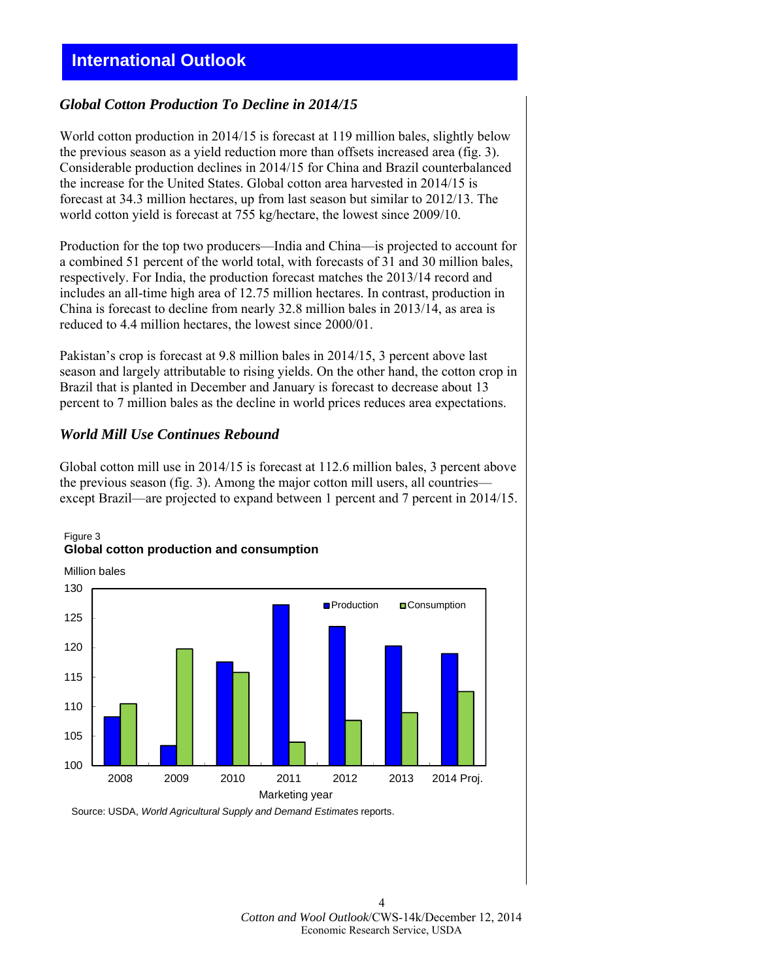## **International Outlook**

## *Global Cotton Production To Decline in 2014/15*

World cotton production in 2014/15 is forecast at 119 million bales, slightly below the previous season as a yield reduction more than offsets increased area (fig. 3). Considerable production declines in 2014/15 for China and Brazil counterbalanced the increase for the United States. Global cotton area harvested in 2014/15 is forecast at 34.3 million hectares, up from last season but similar to 2012/13. The world cotton yield is forecast at 755 kg/hectare, the lowest since 2009/10.

Production for the top two producers—India and China—is projected to account for a combined 51 percent of the world total, with forecasts of 31 and 30 million bales, respectively. For India, the production forecast matches the 2013/14 record and includes an all-time high area of 12.75 million hectares. In contrast, production in China is forecast to decline from nearly 32.8 million bales in 2013/14, as area is reduced to 4.4 million hectares, the lowest since 2000/01.

Pakistan's crop is forecast at 9.8 million bales in 2014/15, 3 percent above last season and largely attributable to rising yields. On the other hand, the cotton crop in Brazil that is planted in December and January is forecast to decrease about 13 percent to 7 million bales as the decline in world prices reduces area expectations.

## *World Mill Use Continues Rebound*

Figure 3

Global cotton mill use in 2014/15 is forecast at 112.6 million bales, 3 percent above the previous season (fig. 3). Among the major cotton mill users, all countries except Brazil—are projected to expand between 1 percent and 7 percent in 2014/15.



## **Global cotton production and consumption**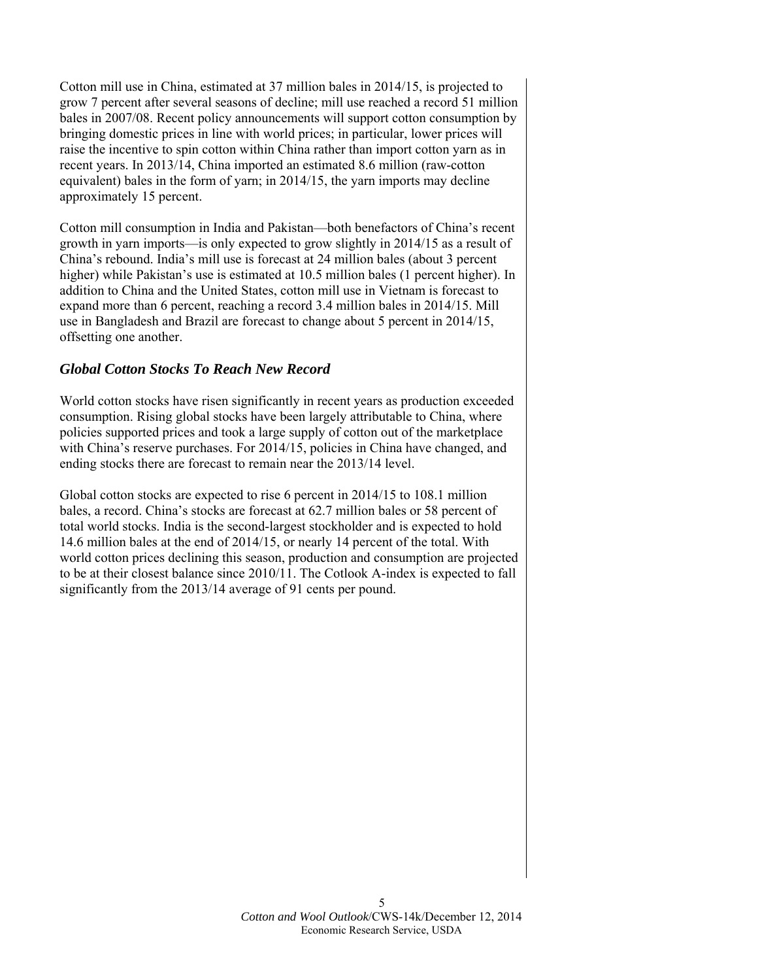Cotton mill use in China, estimated at 37 million bales in 2014/15, is projected to grow 7 percent after several seasons of decline; mill use reached a record 51 million bales in 2007/08. Recent policy announcements will support cotton consumption by bringing domestic prices in line with world prices; in particular, lower prices will raise the incentive to spin cotton within China rather than import cotton yarn as in recent years. In 2013/14, China imported an estimated 8.6 million (raw-cotton equivalent) bales in the form of yarn; in 2014/15, the yarn imports may decline approximately 15 percent.

Cotton mill consumption in India and Pakistan—both benefactors of China's recent growth in yarn imports—is only expected to grow slightly in 2014/15 as a result of China's rebound. India's mill use is forecast at 24 million bales (about 3 percent higher) while Pakistan's use is estimated at 10.5 million bales (1 percent higher). In addition to China and the United States, cotton mill use in Vietnam is forecast to expand more than 6 percent, reaching a record 3.4 million bales in 2014/15. Mill use in Bangladesh and Brazil are forecast to change about 5 percent in 2014/15, offsetting one another.

## *Global Cotton Stocks To Reach New Record*

World cotton stocks have risen significantly in recent years as production exceeded consumption. Rising global stocks have been largely attributable to China, where policies supported prices and took a large supply of cotton out of the marketplace with China's reserve purchases. For 2014/15, policies in China have changed, and ending stocks there are forecast to remain near the 2013/14 level.

Global cotton stocks are expected to rise 6 percent in 2014/15 to 108.1 million bales, a record. China's stocks are forecast at 62.7 million bales or 58 percent of total world stocks. India is the second-largest stockholder and is expected to hold 14.6 million bales at the end of 2014/15, or nearly 14 percent of the total. With world cotton prices declining this season, production and consumption are projected to be at their closest balance since 2010/11. The Cotlook A-index is expected to fall significantly from the 2013/14 average of 91 cents per pound.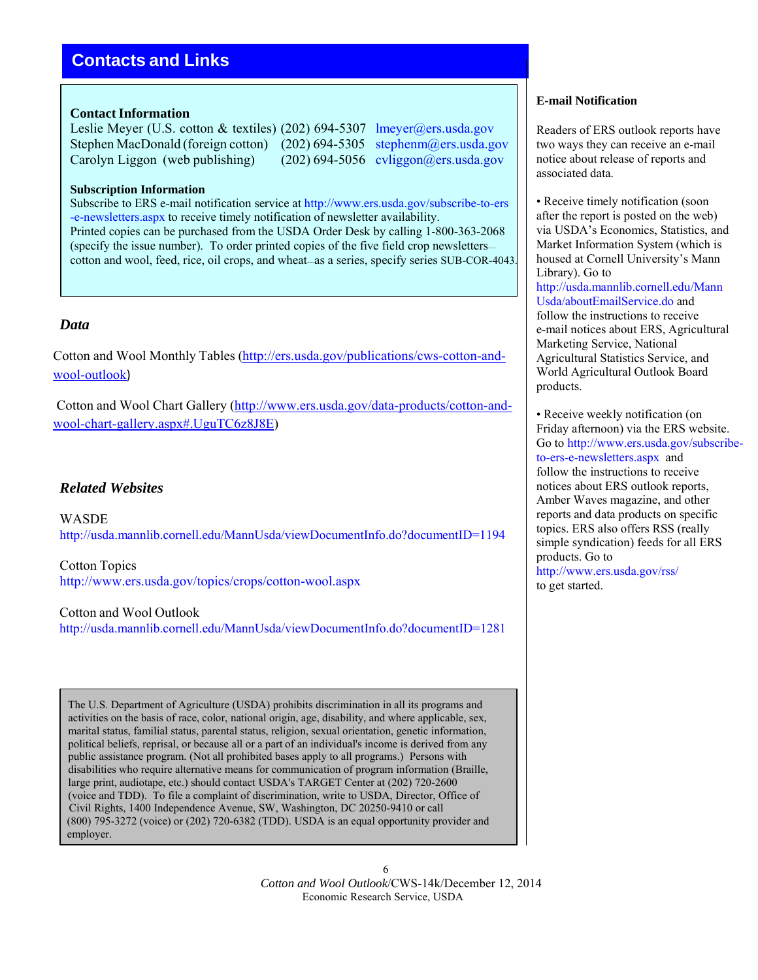# **Contacts and Links**

### **Contact Information**

Leslie Meyer (U.S. cotton & textiles) (202) 694-5307 lmeyer@ers.usda.gov Stephen MacDonald (foreign cotton) (202) 694-5305 stephenm@ers.usda.gov Carolyn Liggon (web publishing) (202) 694-5056 cyliggon@ers.usda.gov

#### **Subscription Information**

Subscribe to ERS e-mail notification service at http://www.ers.usda.gov/subscribe-to-ers -e-newsletters.aspx to receive timely notification of newsletter availability. Printed copies can be purchased from the USDA Order Desk by calling 1-800-363-2068 (specify the issue number). To order printed copies of the five field crop newsletters cotton and wool, feed, rice, oil crops, and wheat—as a series, specify series SUB-COR-4043.

## *Data*

Cotton and Wool Monthly Tables (http://ers.usda.gov/publications/cws-cotton-andwool-outlook)

Cotton and Wool Chart Gallery (http://www.ers.usda.gov/data-products/cotton-andwool-chart-gallery.aspx#.UguTC6z8J8E)

## *Related Websites*

WASDE http://usda.mannlib.cornell.edu/MannUsda/viewDocumentInfo.do?documentID=1194

Cotton Topics http://www.ers.usda.gov/topics/crops/cotton-wool.aspx

Cotton and Wool Outlook http://usda.mannlib.cornell.edu/MannUsda/viewDocumentInfo.do?documentID=1281

The U.S. Department of Agriculture (USDA) prohibits discrimination in all its programs and activities on the basis of race, color, national origin, age, disability, and where applicable, sex, marital status, familial status, parental status, religion, sexual orientation, genetic information, political beliefs, reprisal, or because all or a part of an individual's income is derived from any public assistance program. (Not all prohibited bases apply to all programs.) Persons with disabilities who require alternative means for communication of program information (Braille, large print, audiotape, etc.) should contact USDA's TARGET Center at (202) 720-2600 (voice and TDD). To file a complaint of discrimination, write to USDA, Director, Office of Civil Rights, 1400 Independence Avenue, SW, Washington, DC 20250-9410 or call (800) 795-3272 (voice) or (202) 720-6382 (TDD). USDA is an equal opportunity provider and employer.

#### **E-mail Notification**

Readers of ERS outlook reports have two ways they can receive an e-mail notice about release of reports and associated data.

• Receive timely notification (soon) after the report is posted on the web) via USDA's Economics, Statistics, and Market Information System (which is housed at Cornell University's Mann Library). Go to http://usda.mannlib.cornell.edu/Mann Usda/aboutEmailService.do and follow the instructions to receive e-mail notices about ERS, Agricultural Marketing Service, National Agricultural Statistics Service, and World Agricultural Outlook Board products.

• Receive weekly notification (on Friday afternoon) via the ERS website. Go to http://www.ers.usda.gov/subscribeto-ers-e-newsletters.aspx and follow the instructions to receive notices about ERS outlook reports, Amber Waves magazine, and other reports and data products on specific topics. ERS also offers RSS (really simple syndication) feeds for all ERS products. Go to http://www.ers.usda.gov/rss/ to get started.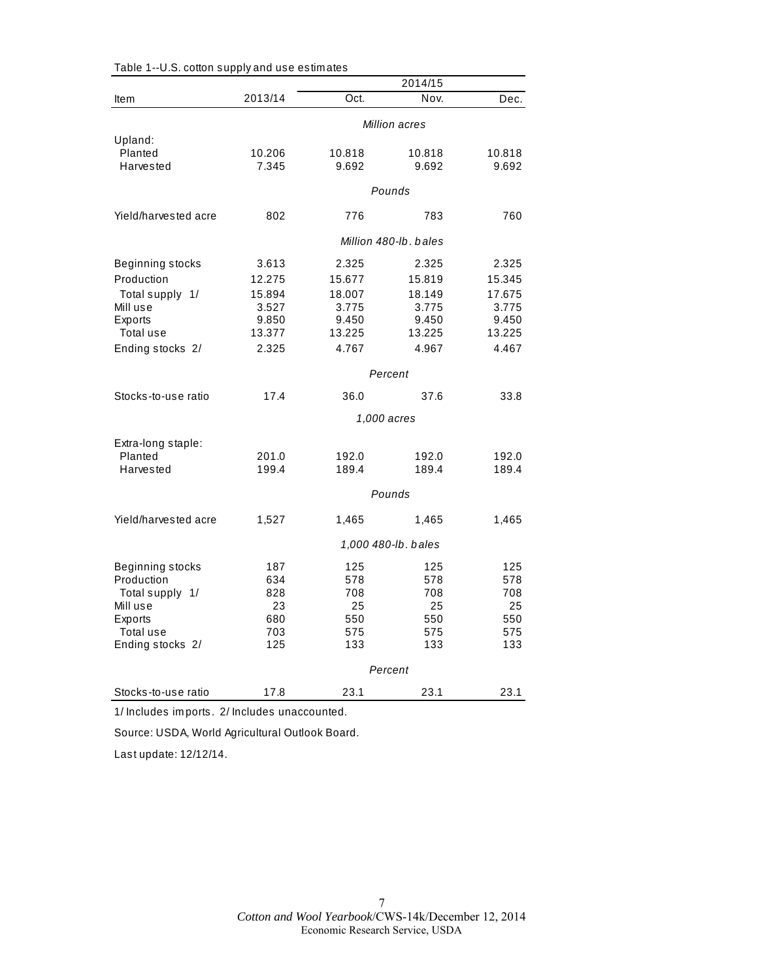|                      |                       |         | 2014/15             |        |  |
|----------------------|-----------------------|---------|---------------------|--------|--|
| <b>Item</b>          | 2013/14               | Oct.    | Nov.                | Dec.   |  |
|                      | Million acres         |         |                     |        |  |
| Upland:              |                       |         |                     |        |  |
| Planted              | 10.206                | 10.818  | 10.818              | 10.818 |  |
| Harvested            | 7.345                 | 9.692   | 9.692               | 9.692  |  |
|                      |                       |         | Pounds              |        |  |
| Yield/harvested acre | 802                   | 776     | 783                 | 760    |  |
|                      | Million 480-lb. bales |         |                     |        |  |
| Beginning stocks     | 3.613                 | 2.325   | 2.325               | 2.325  |  |
| Production           | 12.275                | 15.677  | 15.819              | 15.345 |  |
| Total supply 1/      | 15.894                | 18.007  | 18.149              | 17.675 |  |
| Mill use             | 3.527                 | 3.775   | 3.775               | 3.775  |  |
| Exports              | 9.850                 | 9.450   | 9.450               | 9.450  |  |
| Total use            | 13.377                | 13.225  | 13.225              | 13.225 |  |
| Ending stocks 2/     | 2.325                 | 4.767   | 4.967               | 4.467  |  |
|                      |                       | Percent |                     |        |  |
| Stocks-to-use ratio  | 17.4                  | 36.0    | 37.6                | 33.8   |  |
|                      |                       |         | 1,000 acres         |        |  |
| Extra-long staple:   |                       |         |                     |        |  |
| Planted              | 201.0                 | 192.0   | 192.0               | 192.0  |  |
| Harvested            | 199.4                 | 189.4   | 189.4               | 189.4  |  |
|                      |                       |         | Pounds              |        |  |
| Yield/harvested acre | 1,527                 | 1,465   | 1,465               | 1,465  |  |
|                      |                       |         | 1,000 480-lb. bales |        |  |
| Beginning stocks     | 187                   | 125     | 125                 | 125    |  |
| Production           | 634                   | 578     | 578                 | 578    |  |
| Total supply 1/      | 828                   | 708     | 708                 | 708    |  |
| Mill use             | 23                    | 25      | 25                  | 25     |  |
| Exports              | 680                   | 550     | 550                 | 550    |  |
| Total use            | 703                   | 575     | 575                 | 575    |  |
| Ending stocks 2/     | 125                   | 133     | 133                 | 133    |  |
|                      |                       | Percent |                     |        |  |
| Stocks-to-use ratio  | 17.8                  | 23.1    | 23.1                | 23.1   |  |

| Table 1--U.S. cotton supply and use estimates |  |  |
|-----------------------------------------------|--|--|
|-----------------------------------------------|--|--|

1/ Includes im ports. 2/ Includes unaccounted.

Source: USDA, World Agricultural Outlook Board.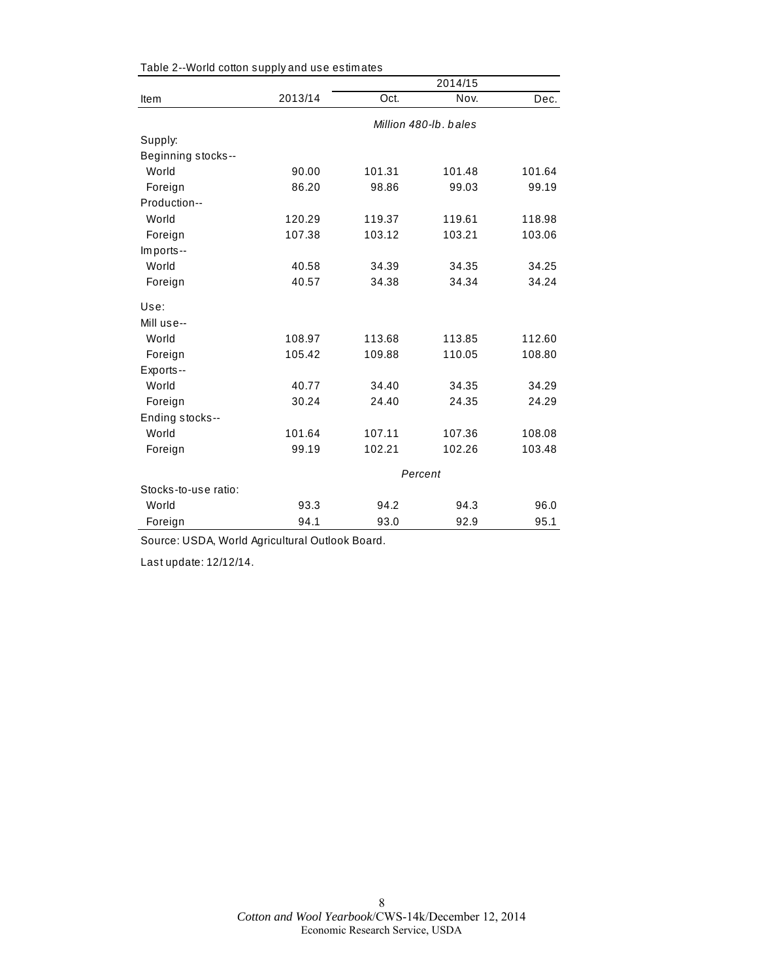|                      |         |        | 2014/15               |        |
|----------------------|---------|--------|-----------------------|--------|
| Item                 | 2013/14 | Oct.   | Nov.                  | Dec.   |
|                      |         |        | Million 480-lb, bales |        |
| Supply:              |         |        |                       |        |
| Beginning stocks--   |         |        |                       |        |
| World                | 90.00   | 101.31 | 101.48                | 101.64 |
| Foreign              | 86.20   | 98.86  | 99.03                 | 99.19  |
| Production--         |         |        |                       |        |
| World                | 120.29  | 119.37 | 119.61                | 118.98 |
| Foreign              | 107.38  | 103.12 | 103.21                | 103.06 |
| Imports--            |         |        |                       |        |
| World                | 40.58   | 34.39  | 34.35                 | 34.25  |
| Foreign              | 40.57   | 34.38  | 34.34                 | 34.24  |
| Use:                 |         |        |                       |        |
| Mill use--           |         |        |                       |        |
| World                | 108.97  | 113.68 | 113.85                | 112.60 |
| Foreign              | 105.42  | 109.88 | 110.05                | 108.80 |
| Exports--            |         |        |                       |        |
| World                | 40.77   | 34.40  | 34.35                 | 34.29  |
| Foreign              | 30.24   | 24.40  | 24.35                 | 24.29  |
| Ending stocks--      |         |        |                       |        |
| World                | 101.64  | 107.11 | 107.36                | 108.08 |
| Foreign              | 99.19   | 102.21 | 102.26                | 103.48 |
|                      |         |        | Percent               |        |
| Stocks-to-use ratio: |         |        |                       |        |
| World                | 93.3    | 94.2   | 94.3                  | 96.0   |
| Foreign              | 94.1    | 93.0   | 92.9                  | 95.1   |

Table 2--World cotton supply and use estim ates

Source: USDA, World Agricultural Outlook Board.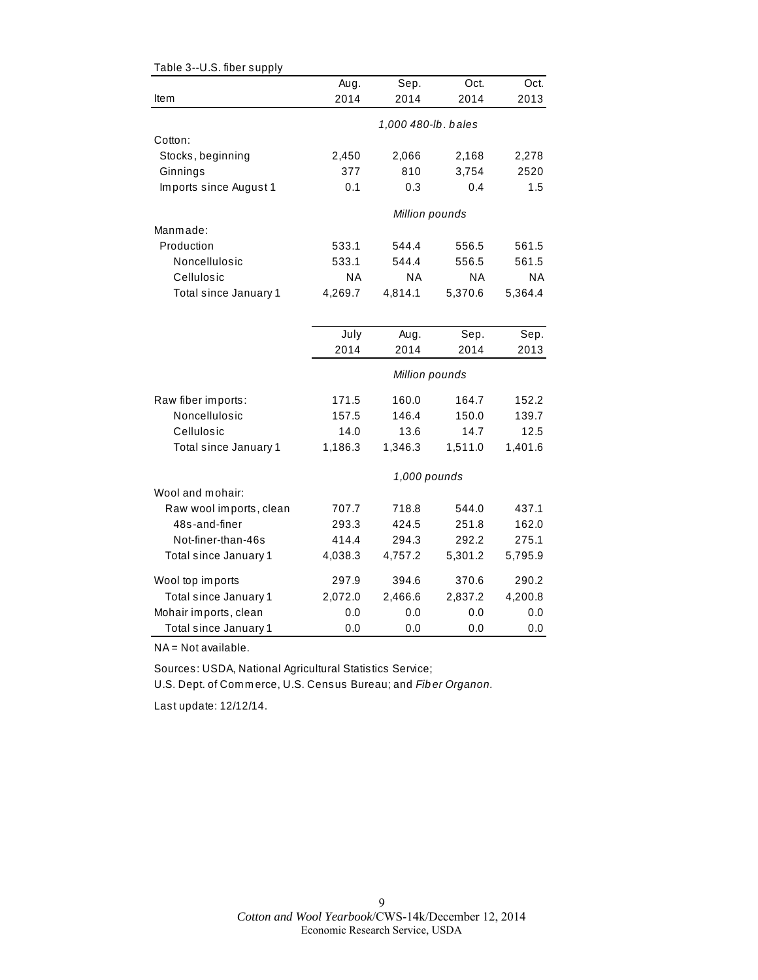| Table 3--U.S. fiber supply |         |                     |           |           |
|----------------------------|---------|---------------------|-----------|-----------|
|                            | Aug.    | Sep.                | Oct.      | Oct.      |
| Item                       | 2014    | 2014                | 2014      | 2013      |
|                            |         | 1,000 480-lb. bales |           |           |
| Cotton:                    |         |                     |           |           |
| Stocks, beginning          | 2,450   | 2,066               | 2,168     | 2,278     |
| Ginnings                   | 377     | 810                 | 3,754     | 2520      |
| Imports since August 1     | 0.1     | 0.3                 | 0.4       | 1.5       |
|                            |         | Million pounds      |           |           |
| Manmade:                   |         |                     |           |           |
| Production                 | 533.1   | 544.4               | 556.5     | 561.5     |
| Noncellulosic              | 533.1   | 544.4               | 556.5     | 561.5     |
| Cellulosic                 | ΝA      | <b>NA</b>           | <b>NA</b> | <b>NA</b> |
| Total since January 1      | 4,269.7 | 4,814.1             | 5,370.6   | 5,364.4   |
|                            |         |                     |           |           |
|                            | July    | Aug.                | Sep.      | Sep.      |
|                            | 2014    | 2014                | 2014      | 2013      |
|                            |         | Million pounds      |           |           |
| Raw fiber imports:         | 171.5   | 160.0               | 164.7     | 152.2     |
| Noncellulosic              | 157.5   | 146.4               | 150.0     | 139.7     |
| Cellulosic                 | 14.0    | 13.6                | 14.7      | 12.5      |
| Total since January 1      | 1,186.3 | 1,346.3             | 1,511.0   | 1,401.6   |
|                            |         | 1,000 pounds        |           |           |
| Wool and mohair:           |         |                     |           |           |
| Raw wool imports, clean    | 707.7   | 718.8               | 544.0     | 437.1     |
| 48s-and-finer              | 293.3   | 424.5               | 251.8     | 162.0     |
| Not-finer-than-46s         | 414.4   | 294.3               | 292.2     | 275.1     |
| Total since January 1      | 4,038.3 | 4,757.2             | 5,301.2   | 5,795.9   |
| Wool top imports           | 297.9   | 394.6               | 370.6     | 290.2     |
| Total since January 1      | 2,072.0 | 2,466.6             | 2,837.2   | 4,200.8   |
| Mohair imports, clean      | 0.0     | 0.0                 | 0.0       | 0.0       |
| Total since January 1      | 0.0     | 0.0                 | 0.0       | 0.0       |

NA = Not available.

Sources: USDA, National Agricultural Statistics Service;

U.S. Dept. of Com m erce, U.S. Census Bureau; and *Fib er Organon.*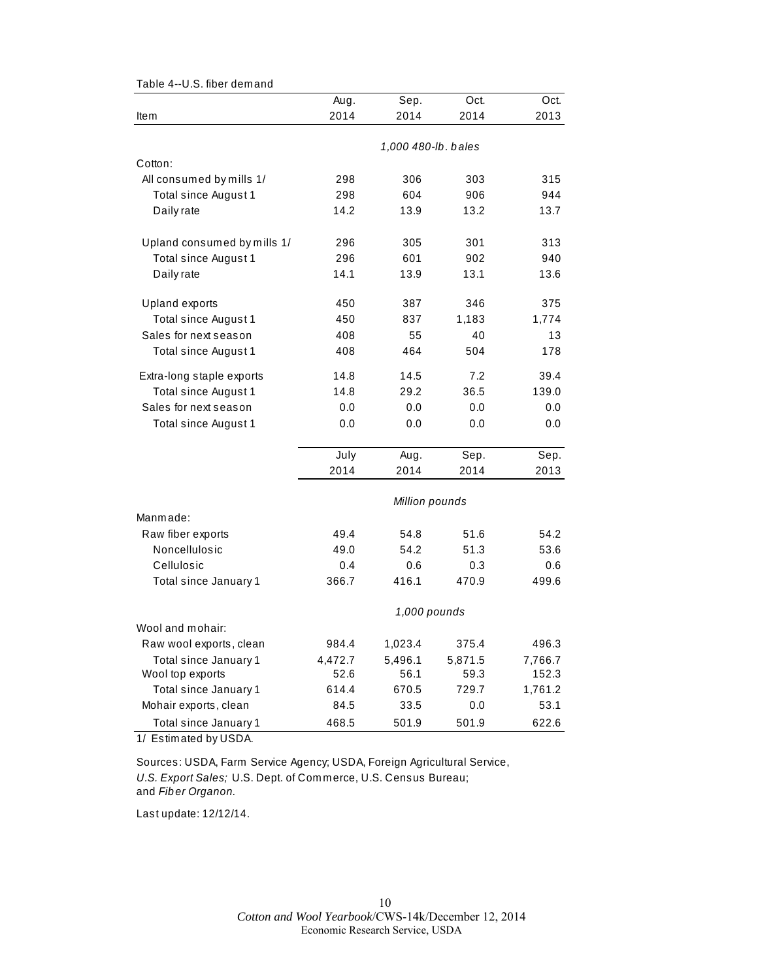|                             | Aug.         | Sep.                | Oct.    | Oct.    |  |
|-----------------------------|--------------|---------------------|---------|---------|--|
| Item                        | 2014         | 2014                | 2014    | 2013    |  |
|                             |              |                     |         |         |  |
|                             |              | 1,000 480-lb. bales |         |         |  |
| Cotton:                     |              |                     |         |         |  |
| All consumed by mills 1/    | 298          | 306                 | 303     | 315     |  |
| Total since August 1        | 298          | 604                 | 906     | 944     |  |
| Daily rate                  | 14.2         | 13.9                | 13.2    | 13.7    |  |
| Upland consumed by mills 1/ | 296          | 305                 | 301     | 313     |  |
| Total since August 1        | 296          | 601                 | 902     | 940     |  |
| Daily rate                  | 14.1         | 13.9                | 13.1    | 13.6    |  |
| Upland exports              | 450          | 387                 | 346     | 375     |  |
| Total since August 1        | 450          | 837                 | 1,183   | 1,774   |  |
| Sales for next season       | 408          | 55                  | 40      | 13      |  |
| Total since August 1        | 408          | 464                 | 504     | 178     |  |
| Extra-long staple exports   | 14.8         | 14.5                | 7.2     | 39.4    |  |
| Total since August 1        | 14.8         | 29.2                | 36.5    | 139.0   |  |
| Sales for next season       | 0.0          | 0.0                 | 0.0     | 0.0     |  |
| Total since August 1        | 0.0          | 0.0                 | 0.0     | 0.0     |  |
|                             | July         | Aug.                | Sep.    | Sep.    |  |
|                             | 2014         | 2014                | 2014    | 2013    |  |
|                             |              | Million pounds      |         |         |  |
| Manmade:                    |              |                     |         |         |  |
| Raw fiber exports           | 49.4         | 54.8                | 51.6    | 54.2    |  |
| Noncellulosic               | 49.0         | 54.2                | 51.3    | 53.6    |  |
| Cellulosic                  | 0.4          | 0.6                 | 0.3     | 0.6     |  |
| Total since January 1       | 366.7        | 416.1               | 470.9   | 499.6   |  |
|                             | 1,000 pounds |                     |         |         |  |
| Wool and mohair:            |              |                     |         |         |  |
| Raw wool exports, clean     | 984.4        | 1,023.4             | 375.4   | 496.3   |  |
| Total since January 1       | 4,472.7      | 5,496.1             | 5,871.5 | 7,766.7 |  |
| Wool top exports            | 52.6         | 56.1                | 59.3    | 152.3   |  |
| Total since January 1       | 614.4        | 670.5               | 729.7   | 1,761.2 |  |
| Mohair exports, clean       | 84.5         | 33.5                | 0.0     | 53.1    |  |
| Total since January 1       | 468.5        | 501.9               | 501.9   | 622.6   |  |

Table 4--U.S. fiber dem and

1/ Estim ated by USDA.

Sources: USDA, Farm Service Agency; USDA, Foreign Agricultural Service, *U.S. Export Sales;* U.S. Dept. of Com m erce, U.S. Census Bureau; and *Fib er Organon.*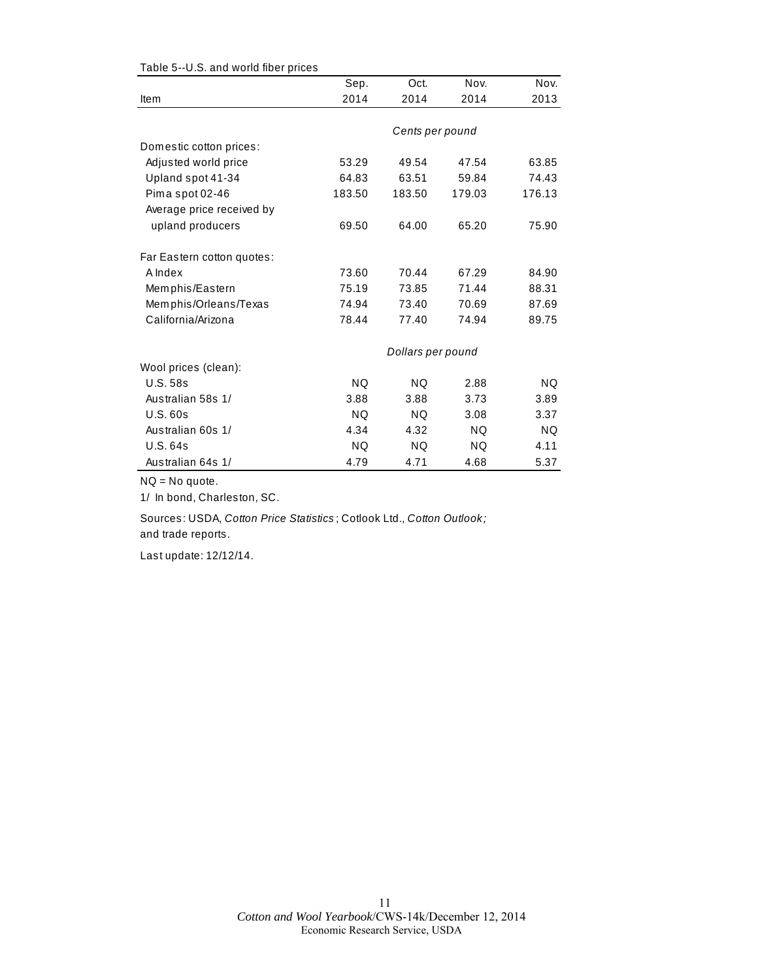|                            | Sep.      | Oct.              | Nov.      | Nov.   |
|----------------------------|-----------|-------------------|-----------|--------|
| Item                       | 2014      | 2014              | 2014      | 2013   |
|                            |           |                   |           |        |
|                            |           | Cents per pound   |           |        |
| Domestic cotton prices:    |           |                   |           |        |
| Adjusted world price       | 53.29     | 49.54             | 47.54     | 63.85  |
| Upland spot 41-34          | 64.83     | 63.51             | 59.84     | 74.43  |
| Pima spot 02-46            | 183.50    | 183.50            | 179.03    | 176.13 |
| Average price received by  |           |                   |           |        |
| upland producers           | 69.50     | 64.00             | 65.20     | 75.90  |
| Far Eastern cotton quotes: |           |                   |           |        |
| A Index                    | 73.60     | 70.44             | 67.29     | 84.90  |
| Memphis/Eastern            | 75.19     | 73.85             | 71.44     | 88.31  |
| Memphis/Orleans/Texas      | 74.94     | 73.40             | 70.69     | 87.69  |
| California/Arizona         | 78.44     | 77.40             | 74.94     | 89.75  |
|                            |           | Dollars per pound |           |        |
| Wool prices (clean):       |           |                   |           |        |
| <b>U.S. 58s</b>            | <b>NQ</b> | NQ                | 2.88      | NQ.    |
| Australian 58s 1/          | 3.88      | 3.88              | 3.73      | 3.89   |
| U.S.60s                    | NQ.       | NQ.               | 3.08      | 3.37   |
| Australian 60s 1/          | 4.34      | 4.32              | <b>NQ</b> | NQ.    |
| <b>U.S. 64s</b>            | <b>NQ</b> | <b>NQ</b>         | NQ.       | 4.11   |
| Australian 64s 1/          | 4.79      | 4.71              | 4.68      | 5.37   |

Table 5--U.S. and world fiber prices

NQ = No quote.

1/ In bond, Charleston, SC.

Sources: USDA, *Cotton Price Statistics* ; Cotlook Ltd., *Cotton Outlook;*  and trade reports.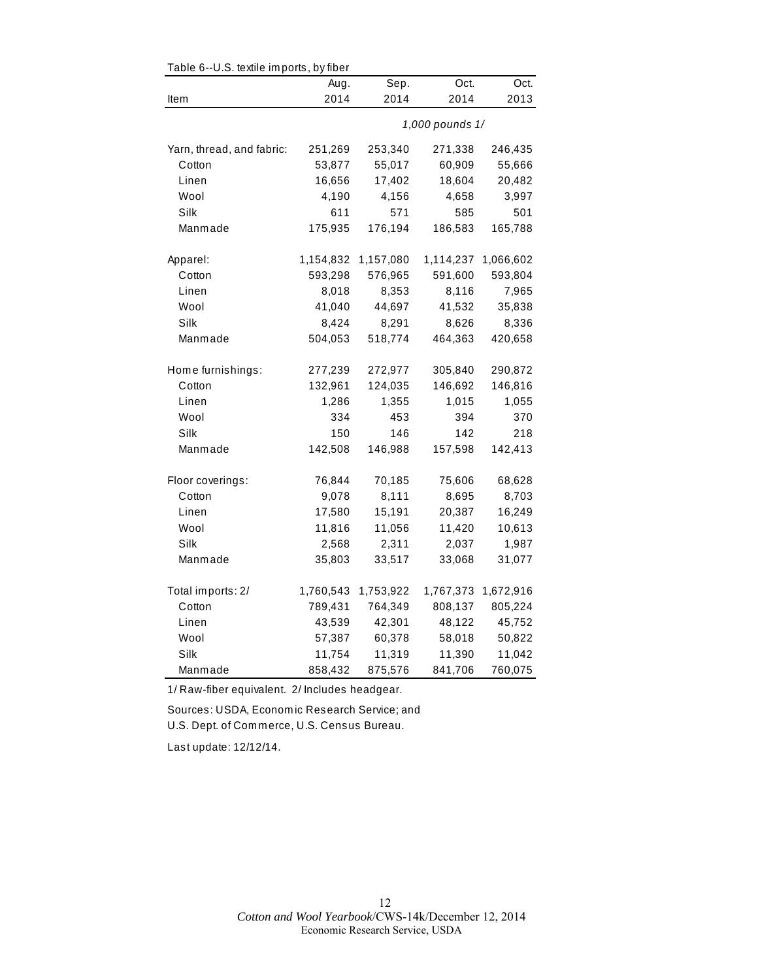| Table 6--U.S. textile imports, by fiber |           |           |                 |           |
|-----------------------------------------|-----------|-----------|-----------------|-----------|
|                                         | Aug.      | Sep.      | Oct.            | Oct.      |
| ltem                                    | 2014      | 2014      | 2014            | 2013      |
|                                         |           |           | 1,000 pounds 1/ |           |
| Yarn, thread, and fabric:               | 251,269   | 253,340   | 271,338         | 246,435   |
| Cotton                                  | 53,877    | 55,017    | 60,909          | 55,666    |
| Linen                                   | 16,656    | 17,402    | 18,604          | 20,482    |
| Wool                                    | 4,190     | 4,156     | 4,658           | 3,997     |
| Silk                                    | 611       | 571       | 585             | 501       |
| Manmade                                 | 175,935   | 176,194   | 186,583         | 165,788   |
| Apparel:                                | 1,154,832 | 1,157,080 | 1,114,237       | 1,066,602 |
| Cotton                                  | 593,298   | 576,965   | 591,600         | 593,804   |
| Linen                                   | 8,018     | 8,353     | 8,116           | 7,965     |
| Wool                                    | 41,040    | 44,697    | 41,532          | 35,838    |
| Silk                                    | 8,424     | 8,291     | 8,626           | 8,336     |
| Manmade                                 | 504,053   | 518,774   | 464,363         | 420,658   |
| Home furnishings:                       | 277,239   | 272,977   | 305,840         | 290,872   |
| Cotton                                  | 132,961   | 124,035   | 146,692         | 146,816   |
| Linen                                   | 1,286     | 1,355     | 1,015           | 1,055     |
| Wool                                    | 334       | 453       | 394             | 370       |
| Silk                                    | 150       | 146       | 142             | 218       |
| Manmade                                 | 142,508   | 146,988   | 157,598         | 142,413   |
| Floor coverings:                        | 76,844    | 70,185    | 75,606          | 68,628    |
| Cotton                                  | 9,078     | 8,111     | 8,695           | 8,703     |
| Linen                                   | 17,580    | 15,191    | 20,387          | 16,249    |
| Wool                                    | 11,816    | 11,056    | 11,420          | 10,613    |
| Silk                                    | 2,568     | 2,311     | 2,037           | 1,987     |
| Manmade                                 | 35,803    | 33,517    | 33,068          | 31,077    |
| Total imports: 2/                       | 1,760,543 | 1,753,922 | 1,767,373       | 1,672,916 |
| Cotton                                  | 789,431   | 764,349   | 808,137         | 805,224   |
| Linen                                   | 43,539    | 42,301    | 48,122          | 45,752    |
| Wool                                    | 57,387    | 60,378    | 58,018          | 50,822    |
| Silk                                    | 11,754    | 11,319    | 11,390          | 11,042    |
| Manmade                                 | 858,432   | 875,576   | 841,706         | 760,075   |

1/ Raw-fiber equivalent. 2/ Includes headgear.

Sources: USDA, Econom ic Research Service; and U.S. Dept. of Com m erce, U.S. Census Bureau.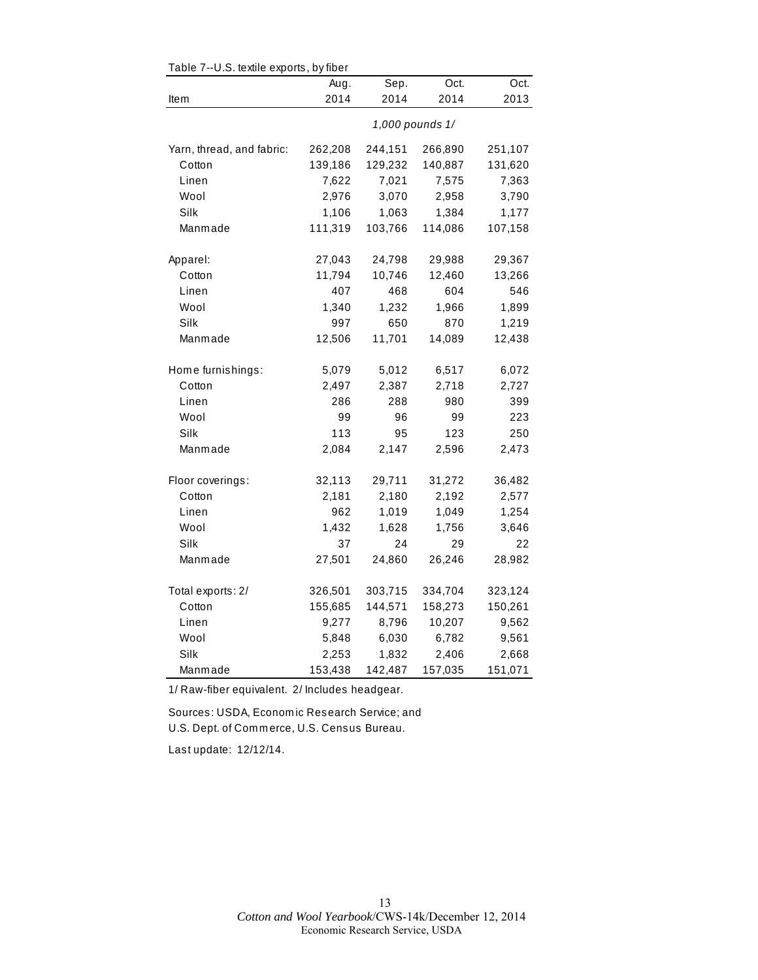| rable $r$ --0.5. lexule exports, by liber |                 |         |         |         |  |  |
|-------------------------------------------|-----------------|---------|---------|---------|--|--|
|                                           | Aug.            | Sep.    | Oct.    | Oct.    |  |  |
| Item                                      | 2014            | 2014    | 2014    | 2013    |  |  |
|                                           | 1,000 pounds 1/ |         |         |         |  |  |
| Yarn, thread, and fabric:                 | 262,208         | 244,151 | 266,890 | 251,107 |  |  |
| Cotton                                    | 139,186         | 129,232 | 140,887 | 131,620 |  |  |
| Linen                                     | 7,622           | 7,021   | 7,575   | 7,363   |  |  |
| Wool                                      | 2,976           | 3,070   | 2,958   | 3,790   |  |  |
| Silk                                      | 1,106           | 1,063   | 1,384   | 1,177   |  |  |
| Manmade                                   | 111,319         | 103,766 | 114,086 | 107,158 |  |  |
| Apparel:                                  | 27,043          | 24,798  | 29,988  | 29,367  |  |  |
| Cotton                                    | 11,794          | 10,746  | 12,460  | 13,266  |  |  |
| Linen                                     | 407             | 468     | 604     | 546     |  |  |
| Wool                                      | 1,340           | 1,232   | 1,966   | 1,899   |  |  |
| Silk                                      | 997             | 650     | 870     | 1,219   |  |  |
| Manmade                                   | 12,506          | 11,701  | 14,089  | 12,438  |  |  |
| Home furnishings:                         | 5,079           | 5,012   | 6,517   | 6,072   |  |  |
| Cotton                                    | 2,497           | 2,387   | 2,718   | 2,727   |  |  |
| Linen                                     | 286             | 288     | 980     | 399     |  |  |
| Wool                                      | 99              | 96      | 99      | 223     |  |  |
| Silk                                      | 113             | 95      | 123     | 250     |  |  |
| Manmade                                   | 2,084           | 2,147   | 2,596   | 2,473   |  |  |
| Floor coverings:                          | 32,113          | 29,711  | 31,272  | 36,482  |  |  |
| Cotton                                    | 2,181           | 2,180   | 2,192   | 2,577   |  |  |
| Linen                                     | 962             | 1,019   | 1,049   | 1,254   |  |  |
| Wool                                      | 1,432           | 1,628   | 1,756   | 3,646   |  |  |
| Silk                                      | 37              | 24      | 29      | 22      |  |  |
| Manmade                                   | 27,501          | 24,860  | 26,246  | 28,982  |  |  |
| Total exports: 2/                         | 326,501         | 303,715 | 334,704 | 323,124 |  |  |
| Cotton                                    | 155,685         | 144,571 | 158,273 | 150,261 |  |  |
| Linen                                     | 9,277           | 8,796   | 10,207  | 9,562   |  |  |
| Wool                                      | 5,848           | 6,030   | 6,782   | 9,561   |  |  |
| Silk                                      | 2,253           | 1,832   | 2,406   | 2,668   |  |  |
| Manmade                                   | 153,438         | 142,487 | 157,035 | 151,071 |  |  |

Table 7--U.S. textile exports, by fiber

1/ Raw-fiber equivalent. 2/ Includes headgear.

Sources: USDA, Econom ic Research Service; and U.S. Dept. of Com m erce, U.S. Census Bureau.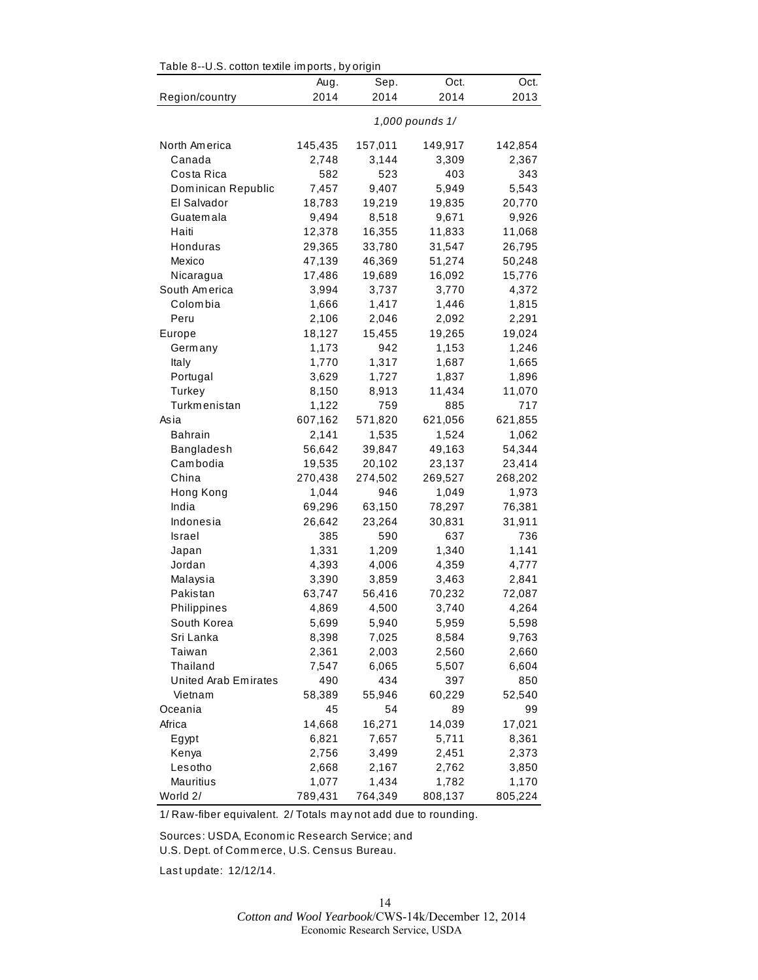| Table 8--0.S. cotton textile imports, by origin |                 |         |         |         |  |  |
|-------------------------------------------------|-----------------|---------|---------|---------|--|--|
|                                                 | Aug.            | Sep.    | Oct.    | Oct.    |  |  |
| Region/country                                  | 2014            | 2014    | 2014    | 2013    |  |  |
|                                                 | 1,000 pounds 1/ |         |         |         |  |  |
| North America                                   | 145,435         | 157,011 | 149,917 | 142,854 |  |  |
| Canada                                          | 2,748           | 3,144   | 3,309   | 2,367   |  |  |
| Costa Rica                                      | 582             | 523     | 403     | 343     |  |  |
| Dominican Republic                              | 7,457           | 9,407   | 5,949   | 5,543   |  |  |
| El Salvador                                     | 18,783          | 19,219  | 19,835  | 20,770  |  |  |
| Guatemala                                       | 9,494           | 8,518   | 9,671   | 9,926   |  |  |
| Haiti                                           | 12,378          | 16,355  | 11,833  | 11,068  |  |  |
| Honduras                                        | 29,365          | 33,780  | 31,547  | 26,795  |  |  |
| Mexico                                          | 47,139          | 46,369  | 51,274  | 50,248  |  |  |
| Nicaragua                                       | 17,486          | 19,689  | 16,092  | 15,776  |  |  |
| South America                                   | 3,994           | 3,737   | 3,770   | 4,372   |  |  |
| Colombia                                        | 1,666           | 1,417   | 1,446   | 1,815   |  |  |
| Peru                                            | 2,106           | 2,046   | 2,092   | 2,291   |  |  |
| Europe                                          | 18,127          | 15,455  | 19,265  | 19,024  |  |  |
| Germany                                         | 1,173           | 942     | 1,153   | 1,246   |  |  |
| Italy                                           | 1,770           | 1,317   | 1,687   | 1,665   |  |  |
| Portugal                                        | 3,629           | 1,727   | 1,837   | 1,896   |  |  |
| Turkey                                          | 8,150           | 8,913   | 11,434  | 11,070  |  |  |
| Turkmenistan                                    | 1,122           | 759     | 885     | 717     |  |  |
| Asia                                            | 607,162         | 571,820 | 621,056 | 621,855 |  |  |
| Bahrain                                         | 2,141           | 1,535   | 1,524   | 1,062   |  |  |
| Bangladesh                                      | 56,642          | 39,847  | 49,163  | 54,344  |  |  |
| Cambodia                                        | 19,535          | 20,102  | 23,137  | 23,414  |  |  |
| China                                           | 270,438         | 274,502 | 269,527 | 268,202 |  |  |
| Hong Kong                                       | 1,044           | 946     | 1,049   | 1,973   |  |  |
| India                                           | 69,296          | 63,150  | 78,297  | 76,381  |  |  |
| Indonesia                                       | 26,642          | 23,264  | 30,831  | 31,911  |  |  |
| Israel                                          | 385             | 590     | 637     | 736     |  |  |
| Japan                                           | 1,331           | 1,209   | 1,340   | 1,141   |  |  |
| Jordan                                          | 4,393           | 4,006   | 4,359   | 4,777   |  |  |
| Malaysia                                        | 3,390           | 3,859   | 3,463   | 2,841   |  |  |
| Pakistan                                        | 63,747          | 56,416  | 70,232  | 72,087  |  |  |
| Philippines                                     | 4,869           | 4,500   | 3,740   | 4,264   |  |  |
| South Korea                                     | 5,699           | 5,940   | 5,959   | 5,598   |  |  |
| Sri Lanka                                       | 8,398           | 7,025   | 8,584   | 9,763   |  |  |
| Taiwan                                          | 2,361           | 2,003   | 2,560   | 2,660   |  |  |
| Thailand                                        | 7,547           | 6,065   | 5,507   | 6,604   |  |  |
| United Arab Emirates                            | 490             | 434     | 397     | 850     |  |  |
| Vietnam                                         | 58,389          | 55,946  | 60,229  | 52,540  |  |  |
| Oceania                                         | 45              | 54      | 89      | 99      |  |  |
| Africa                                          | 14,668          | 16,271  | 14,039  | 17,021  |  |  |
| Egypt                                           | 6,821           | 7,657   | 5,711   | 8,361   |  |  |
| Kenya                                           | 2,756           | 3,499   | 2,451   | 2,373   |  |  |
| Lesotho                                         | 2,668           | 2,167   | 2,762   | 3,850   |  |  |
| Mauritius                                       | 1,077           | 1,434   | 1,782   | 1,170   |  |  |
| World 2/                                        | 789,431         | 764,349 | 808,137 | 805,224 |  |  |

 $Table 8-11$  S, cotton to tile imports, by origin

1/ Raw-fiber equivalent. 2/ Totals m ay not add due to rounding.

Sources: USDA, Econom ic Research Service; and

U.S. Dept. of Com m erce, U.S. Census Bureau.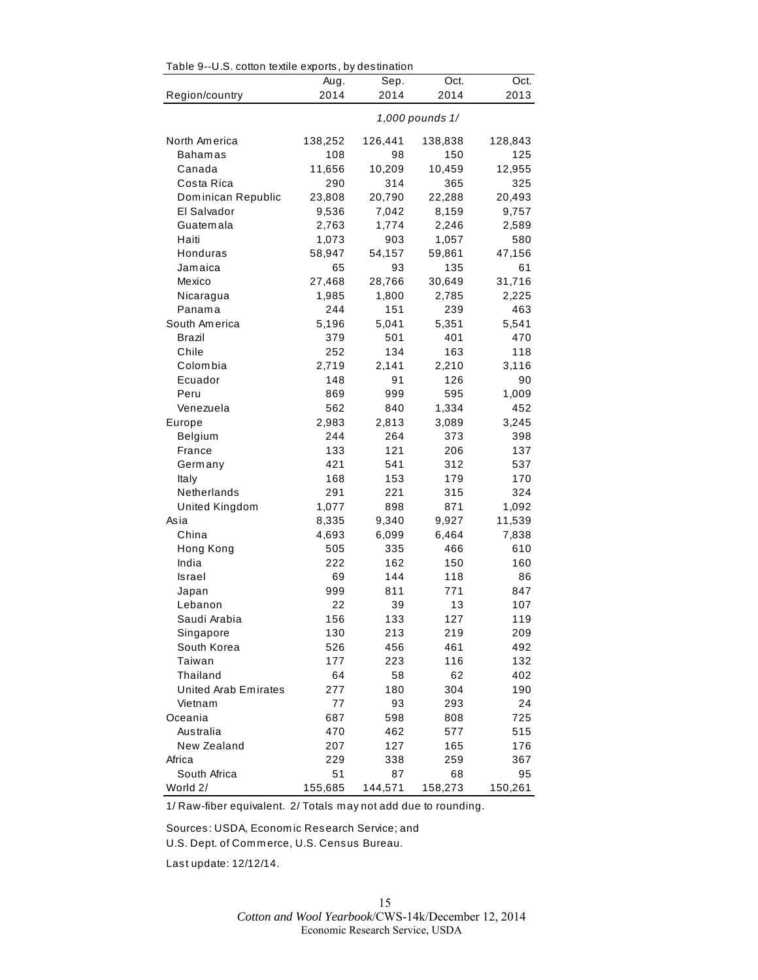| rable 9--0.5. collon lexille exports, by destination |                 |         |         |         |  |  |
|------------------------------------------------------|-----------------|---------|---------|---------|--|--|
|                                                      | Aug.            | Sep.    | Oct.    | Oct.    |  |  |
| Region/country                                       | 2014            | 2014    | 2014    | 2013    |  |  |
|                                                      | 1,000 pounds 1/ |         |         |         |  |  |
| North America                                        | 138,252         | 126,441 | 138,838 | 128,843 |  |  |
| <b>Bahamas</b>                                       | 108             | 98      | 150     | 125     |  |  |
| Canada                                               | 11,656          | 10,209  | 10,459  | 12,955  |  |  |
| Costa Rica                                           | 290             | 314     | 365     | 325     |  |  |
| Dominican Republic                                   | 23,808          | 20,790  | 22,288  | 20,493  |  |  |
| El Salvador                                          | 9,536           | 7,042   | 8,159   | 9,757   |  |  |
| Guatemala                                            | 2,763           | 1,774   | 2,246   | 2,589   |  |  |
| Haiti                                                | 1,073           | 903     | 1,057   | 580     |  |  |
| Honduras                                             | 58,947          | 54,157  | 59,861  | 47,156  |  |  |
| Jamaica                                              | 65              | 93      | 135     | 61      |  |  |
| Mexico                                               | 27,468          | 28,766  | 30,649  | 31,716  |  |  |
| Nicaragua                                            | 1,985           | 1,800   | 2,785   | 2,225   |  |  |
| Panama                                               | 244             | 151     | 239     | 463     |  |  |
| South America                                        | 5,196           | 5,041   | 5,351   | 5,541   |  |  |
| Brazil                                               | 379             | 501     | 401     | 470     |  |  |
| Chile                                                | 252             | 134     | 163     | 118     |  |  |
| Colombia                                             | 2,719           | 2,141   | 2,210   | 3,116   |  |  |
| Ecuador                                              | 148             | 91      | 126     | 90      |  |  |
| Peru                                                 | 869             | 999     | 595     | 1,009   |  |  |
| Venezuela                                            | 562             | 840     | 1,334   | 452     |  |  |
| Europe                                               | 2,983           | 2,813   | 3,089   | 3,245   |  |  |
| Belgium                                              | 244             | 264     | 373     | 398     |  |  |
| France                                               | 133             | 121     | 206     | 137     |  |  |
| Germany                                              | 421             | 541     | 312     | 537     |  |  |
| Italy                                                | 168             | 153     | 179     | 170     |  |  |
| Netherlands                                          | 291             | 221     | 315     | 324     |  |  |
| United Kingdom                                       | 1,077           | 898     | 871     | 1,092   |  |  |
| Asia                                                 | 8,335           | 9,340   | 9,927   | 11,539  |  |  |
| China                                                | 4,693           | 6,099   | 6,464   | 7,838   |  |  |
| Hong Kong                                            | 505             | 335     | 466     | 610     |  |  |
| India                                                | 222             | 162     | 150     | 160     |  |  |
| Israel                                               | 69              | 144     | 118     | 86      |  |  |
| Japan                                                | 999             | 811     | 771     | 847     |  |  |
| Lebanon                                              | 22              | 39      | 13      | 107     |  |  |
| Saudi Arabia                                         | 156             | 133     | 127     | 119     |  |  |
| Singapore                                            | 130             | 213     | 219     | 209     |  |  |
| South Korea                                          | 526             | 456     | 461     | 492     |  |  |
| Taiwan                                               | 177             | 223     | 116     | 132     |  |  |
| Thailand                                             | 64              | 58      | 62      | 402     |  |  |
| United Arab Emirates                                 | 277             | 180     | 304     | 190     |  |  |
| Vietnam                                              | 77              | 93      | 293     | 24      |  |  |
| Oceania                                              | 687             | 598     | 808     | 725     |  |  |
| Australia                                            | 470             | 462     | 577     | 515     |  |  |
| New Zealand                                          | 207             | 127     | 165     | 176     |  |  |
| Africa                                               | 229             | 338     | 259     | 367     |  |  |
| South Africa                                         | 51              | 87      | 68      | 95      |  |  |
| World 2/                                             | 155,685         | 144,571 | 158,273 | 150,261 |  |  |

Table 9--U.S. cotton textile exports, by destination

1/ Raw-fiber equivalent. 2/ Totals m ay not add due to rounding.

Sources: USDA, Econom ic Research Service; and U.S. Dept. of Com m erce, U.S. Census Bureau.